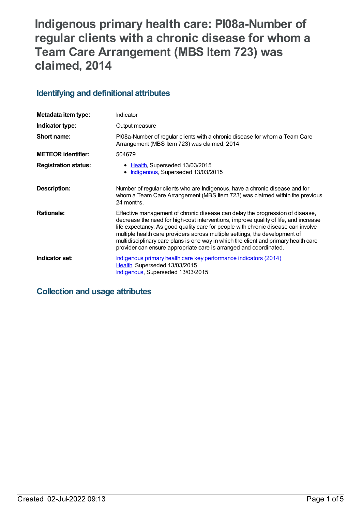# **Indigenous primary health care: PI08a-Number of regular clients with a chronic disease for whom a Team Care Arrangement (MBS Item 723) was claimed, 2014**

## **Identifying and definitional attributes**

| Metadata item type:         | <b>Indicator</b>                                                                                                                                                                                                                                                                                                                                                                                                                                                                                      |  |
|-----------------------------|-------------------------------------------------------------------------------------------------------------------------------------------------------------------------------------------------------------------------------------------------------------------------------------------------------------------------------------------------------------------------------------------------------------------------------------------------------------------------------------------------------|--|
| Indicator type:             | Output measure                                                                                                                                                                                                                                                                                                                                                                                                                                                                                        |  |
| Short name:                 | PI08a-Number of regular clients with a chronic disease for whom a Team Care<br>Arrangement (MBS Item 723) was claimed, 2014                                                                                                                                                                                                                                                                                                                                                                           |  |
| <b>METEOR identifier:</b>   | 504679                                                                                                                                                                                                                                                                                                                                                                                                                                                                                                |  |
| <b>Registration status:</b> | • Health, Superseded 13/03/2015<br>Indigenous, Superseded 13/03/2015                                                                                                                                                                                                                                                                                                                                                                                                                                  |  |
| Description:                | Number of regular clients who are Indigenous, have a chronic disease and for<br>whom a Team Care Arrangement (MBS Item 723) was claimed within the previous<br>24 months.                                                                                                                                                                                                                                                                                                                             |  |
| <b>Rationale:</b>           | Effective management of chronic disease can delay the progression of disease,<br>decrease the need for high-cost interventions, improve quality of life, and increase<br>life expectancy. As good quality care for people with chronic disease can involve<br>multiple health care providers across multiple settings, the development of<br>multidisciplinary care plans is one way in which the client and primary health care<br>provider can ensure appropriate care is arranged and coordinated. |  |
| Indicator set:              | Indigenous primary health care key performance indicators (2014)<br>Health, Superseded 13/03/2015<br>Indigenous, Superseded 13/03/2015                                                                                                                                                                                                                                                                                                                                                                |  |

## **Collection and usage attributes**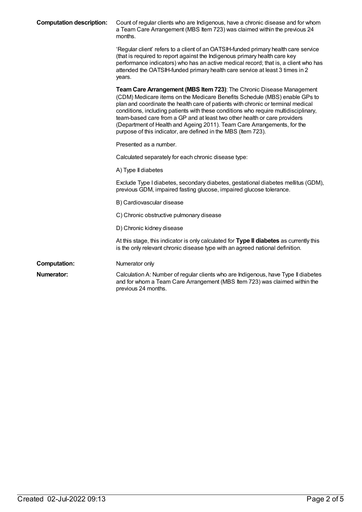| <b>Computation description:</b> | Count of regular clients who are Indigenous, have a chronic disease and for whom<br>a Team Care Arrangement (MBS Item 723) was claimed within the previous 24<br>months.                                                                                                                                                                                                                                                                                                                                                                               |  |
|---------------------------------|--------------------------------------------------------------------------------------------------------------------------------------------------------------------------------------------------------------------------------------------------------------------------------------------------------------------------------------------------------------------------------------------------------------------------------------------------------------------------------------------------------------------------------------------------------|--|
|                                 | 'Regular client' refers to a client of an OATSIH-funded primary health care service<br>(that is required to report against the Indigenous primary health care key<br>performance indicators) who has an active medical record; that is, a client who has<br>attended the OATSIH-funded primary health care service at least 3 times in 2<br>years.                                                                                                                                                                                                     |  |
|                                 | Team Care Arrangement (MBS Item 723): The Chronic Disease Management<br>(CDM) Medicare items on the Medicare Benefits Schedule (MBS) enable GPs to<br>plan and coordinate the health care of patients with chronic or terminal medical<br>conditions, including patients with these conditions who require multidisciplinary,<br>team-based care from a GP and at least two other health or care providers<br>(Department of Health and Ageing 2011). Team Care Arrangements, for the<br>purpose of this indicator, are defined in the MBS (Item 723). |  |
|                                 | Presented as a number.                                                                                                                                                                                                                                                                                                                                                                                                                                                                                                                                 |  |
|                                 | Calculated separately for each chronic disease type:                                                                                                                                                                                                                                                                                                                                                                                                                                                                                                   |  |
|                                 | A) Type II diabetes                                                                                                                                                                                                                                                                                                                                                                                                                                                                                                                                    |  |
|                                 | Exclude Type I diabetes, secondary diabetes, gestational diabetes mellitus (GDM),<br>previous GDM, impaired fasting glucose, impaired glucose tolerance.                                                                                                                                                                                                                                                                                                                                                                                               |  |
|                                 | B) Cardiovascular disease                                                                                                                                                                                                                                                                                                                                                                                                                                                                                                                              |  |
|                                 | C) Chronic obstructive pulmonary disease                                                                                                                                                                                                                                                                                                                                                                                                                                                                                                               |  |
|                                 | D) Chronic kidney disease                                                                                                                                                                                                                                                                                                                                                                                                                                                                                                                              |  |
|                                 | At this stage, this indicator is only calculated for Type II diabetes as currently this<br>is the only relevant chronic disease type with an agreed national definition.                                                                                                                                                                                                                                                                                                                                                                               |  |
| <b>Computation:</b>             | Numerator only                                                                                                                                                                                                                                                                                                                                                                                                                                                                                                                                         |  |
| <b>Numerator:</b>               | Calculation A: Number of regular clients who are Indigenous, have Type II diabetes<br>and for whom a Team Care Arrangement (MBS Item 723) was claimed within the<br>previous 24 months.                                                                                                                                                                                                                                                                                                                                                                |  |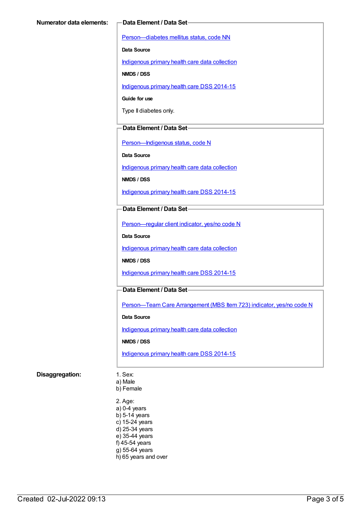[Person—diabetes](https://meteor.aihw.gov.au/content/270194) mellitus status, code NN

**Data Source**

[Indigenous](https://meteor.aihw.gov.au/content/430643) primary health care data collection

**NMDS / DSS**

[Indigenous](https://meteor.aihw.gov.au/content/504325) primary health care DSS 2014-15

**Guide for use**

Type II diabetes only.

#### **Data Element / Data Set**

[Person—Indigenous](https://meteor.aihw.gov.au/content/291036) status, code N

**Data Source**

[Indigenous](https://meteor.aihw.gov.au/content/430643) primary health care data collection

**NMDS / DSS**

[Indigenous](https://meteor.aihw.gov.au/content/504325) primary health care DSS 2014-15

#### **Data Element / Data Set**

[Person—regular](https://meteor.aihw.gov.au/content/436639) client indicator, yes/no code N

**Data Source**

[Indigenous](https://meteor.aihw.gov.au/content/430643) primary health care data collection

**NMDS / DSS**

[Indigenous](https://meteor.aihw.gov.au/content/504325) primary health care DSS 2014-15

### **Data Element / Data Set**

[Person—Team](https://meteor.aihw.gov.au/content/504991) Care Arrangement (MBS Item 723) indicator, yes/no code N

**Data Source**

[Indigenous](https://meteor.aihw.gov.au/content/430643) primary health care data collection

**NMDS / DSS**

[Indigenous](https://meteor.aihw.gov.au/content/504325) primary health care DSS 2014-15

#### **Disaggregation:** 1. Sex:

a) Male

b) Female

2. Age: a) 0-4 years b) 5-14 years c) 15-24 years d) 25-34 years e) 35-44 years f) 45-54 years g) 55-64 years h) 65 years and over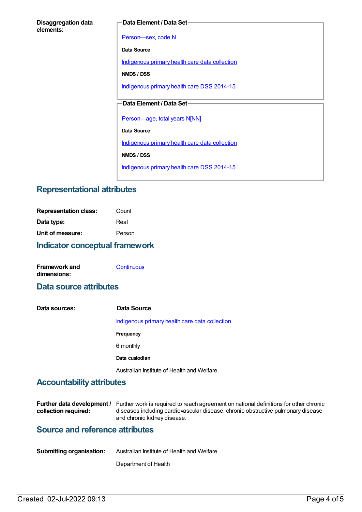#### **Data Element / Data Set**

[Person—sex,](https://meteor.aihw.gov.au/content/287316) code N

**Data Source**

[Indigenous](https://meteor.aihw.gov.au/content/430643) primary health care data collection

**NMDS / DSS**

[Indigenous](https://meteor.aihw.gov.au/content/504325) primary health care DSS 2014-15

## **Data Element / Data Set**

[Person—age,](https://meteor.aihw.gov.au/content/303794) total years N[NN]

**Data Source**

[Indigenous](https://meteor.aihw.gov.au/content/430643) primary health care data collection

**NMDS / DSS**

[Indigenous](https://meteor.aihw.gov.au/content/504325) primary health care DSS 2014-15

## **Representational attributes**

| <b>Indicator conceptual framework</b> |        |  |
|---------------------------------------|--------|--|
| Unit of measure:                      | Person |  |
| Data type:                            | Real   |  |
| <b>Representation class:</b>          | Count  |  |

| <b>Framework and</b> | Continuous |
|----------------------|------------|
| dimensions:          |            |

## **Data source attributes**

**Data sources: Data Source** [Indigenous](https://meteor.aihw.gov.au/content/430643) primary health care data collection **Frequency** 6 monthly **Data custodian** Australian Institute of Health and Welfare.

## **Accountability attributes**

|                      | <b>Further data development</b> / Further work is required to reach agreement on national definitions for other chronic |
|----------------------|-------------------------------------------------------------------------------------------------------------------------|
| collection required: | diseases including cardiovascular disease, chronic obstructive pulmonary disease                                        |
|                      | and chronic kidney disease.                                                                                             |

## **Source and reference attributes**

| <b>Submitting organisation:</b> | Australian Institute of Health and Welfare |
|---------------------------------|--------------------------------------------|
|                                 |                                            |

Department of Health